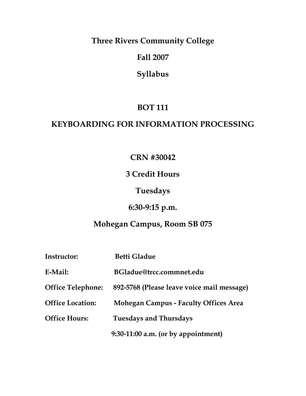**Three Rivers Community College**

**Fall 2007**

**Syllabus**

## **BOT 111**

## **KEYBOARDING FOR INFORMATION PROCESSING**

## **CRN #30042**

## **3 Credit Hours**

## **Tuesdays**

# **6:30-9:15 p.m.**

## **Mohegan Campus, Room SB 075**

| <b>Instructor:</b>       | <b>Betti Gladue</b>                          |
|--------------------------|----------------------------------------------|
| E-Mail:                  | BGladue@trcc.commnet.edu                     |
| <b>Office Telephone:</b> | 892-5768 (Please leave voice mail message)   |
| <b>Office Location:</b>  | <b>Mohegan Campus - Faculty Offices Area</b> |
| <b>Office Hours:</b>     | <b>Tuesdays and Thursdays</b>                |
|                          | $9:30-11:00$ a.m. (or by appointment)        |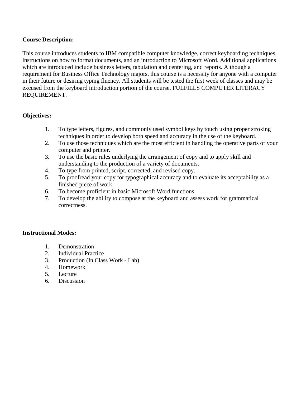## **Course Description:**

This course introduces students to IBM compatible computer knowledge, correct keyboarding techniques, instructions on how to format documents, and an introduction to Microsoft Word. Additional applications which are introduced include business letters, tabulation and centering, and reports. Although a requirement for Business Office Technology majors, this course is a necessity for anyone with a computer in their future or desiring typing fluency. All students will be tested the first week of classes and may be excused from the keyboard introduction portion of the course. FULFILLS COMPUTER LITERACY REQUIREMENT.

## **Objectives:**

- 1. To type letters, figures, and commonly used symbol keys by touch using proper stroking techniques in order to develop both speed and accuracy in the use of the keyboard.
- 2. To use those techniques which are the most efficient in handling the operative parts of your computer and printer.
- 3. To use the basic rules underlying the arrangement of copy and to apply skill and understanding to the production of a variety of documents.
- 4. To type from printed, script, corrected, and revised copy.
- 5. To proofread your copy for typographical accuracy and to evaluate its acceptability as a finished piece of work.
- 6. To become proficient in basic Microsoft Word functions.
- 7. To develop the ability to compose at the keyboard and assess work for grammatical correctness.

## **Instructional Modes:**

- 1. Demonstration
- 2. Individual Practice
- 3. Production (In Class Work Lab)
- 4. Homework
- 5. Lecture
- 6. Discussion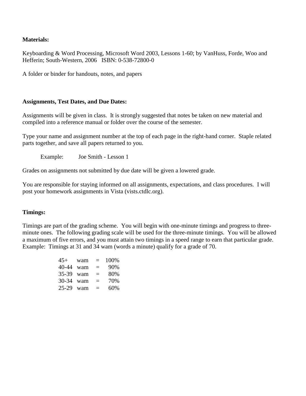## **Materials:**

Keyboarding & Word Processing, Microsoft Word 2003, Lessons 1-60; by VanHuss, Forde, Woo and Hefferin; South-Western, 2006 ISBN: 0-538-72800-0

A folder or binder for handouts, notes, and papers

## **Assignments, Test Dates, and Due Dates:**

Assignments will be given in class. It is strongly suggested that notes be taken on new material and compiled into a reference manual or folder over the course of the semester.

Type your name and assignment number at the top of each page in the right-hand corner. Staple related parts together, and save all papers returned to you.

Example: Joe Smith - Lesson 1

Grades on assignments not submitted by due date will be given a lowered grade.

You are responsible for staying informed on all assignments, expectations, and class procedures. I will post your homework assignments in Vista (vists.ctdlc.org).

## **Timings:**

Timings are part of the grading scheme. You will begin with one-minute timings and progress to threeminute ones. The following grading scale will be used for the three-minute timings. You will be allowed a maximum of five errors, and you must attain two timings in a speed range to earn that particular grade. Example: Timings at 31 and 34 wam (words a minute) qualify for a grade of 70.

|           | $45+$ wam = 100%     |          |
|-----------|----------------------|----------|
|           | $40-44$ wam = $90\%$ |          |
|           | $35-39$ wam =        | 80%      |
| 30-34 wam |                      | $= 70\%$ |
|           | $25-29$ wam =        | 60%      |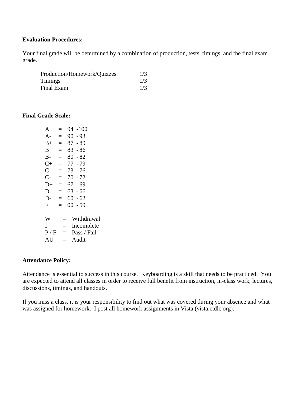## **Evaluation Procedures:**

Your final grade will be determined by a combination of production, tests, timings, and the final exam grade.

| Production/Homework/Quizzes | 1/3 |
|-----------------------------|-----|
| Timings                     | 1/3 |
| Final Exam                  | 1/3 |

### **Final Grade Scale:**

| A              | $=$ | $-100$<br>94   |
|----------------|-----|----------------|
| A-             | $=$ | $90 - 93$      |
| $B+$           | $=$ | $87 - 89$      |
| В              | $=$ | 83 - 86        |
| B-             | $=$ | $80 - 82$      |
| $C+$           | $=$ | 77 - 79        |
| $\overline{C}$ | $=$ | 73 - 76        |
| $C-$           | $=$ | $70 - 72$      |
| $D+$           | $=$ | $67 - 69$      |
| D              | $=$ | $63 - 66$      |
| $D-$           | $=$ | $60 - 62$      |
| F              | $=$ | $00\,$<br>- 59 |
|                |     |                |
| W              | $=$ | Withdrawal     |
| I              | $=$ | Incomplete     |
| P / F          | $=$ | Pass / Fail    |
| AU             | $=$ | Audit          |

#### **Attendance Policy:**

Attendance is essential to success in this course. Keyboarding is a skill that needs to be practiced. You are expected to attend all classes in order to receive full benefit from instruction, in-class work, lectures, discussions, timings, and handouts.

If you miss a class, it is your responsibility to find out what was covered during your absence and what was assigned for homework. I post all homework assignments in Vista (vista.ctdlc.org).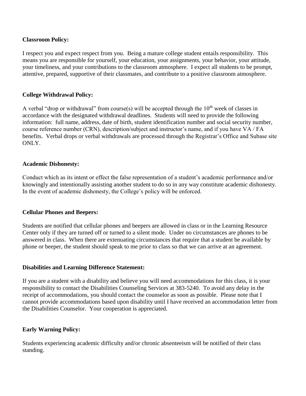## **Classroom Policy:**

I respect you and expect respect from you. Being a mature college student entails responsibility. This means you are responsible for yourself, your education, your assignments, your behavior, your attitude, your timeliness, and your contributions to the classroom atmosphere. I expect all students to be prompt, attentive, prepared, supportive of their classmates, and contribute to a positive classroom atmosphere.

## **College Withdrawal Policy:**

A verbal "drop or withdrawal" from course(s) will be accepted through the  $10<sup>th</sup>$  week of classes in accordance with the designated withdrawal deadlines. Students will need to provide the following information: full name, address, date of birth, student identification number and social security number, course reference number (CRN), description/subject and instructor's name, and if you have VA / FA benefits. Verbal drops or verbal withdrawals are processed through the Registrar's Office and Subase site ONLY.

### **Academic Dishonesty:**

Conduct which as its intent or effect the false representation of a student's academic performance and/or knowingly and intentionally assisting another student to do so in any way constitute academic dishonesty. In the event of academic dishonesty, the College's policy will be enforced.

### **Cellular Phones and Beepers:**

Students are notified that cellular phones and beepers are allowed in class or in the Learning Resource Center only if they are turned off or turned to a silent mode. Under no circumstances are phones to be answered in class. When there are extenuating circumstances that require that a student be available by phone or beeper, the student should speak to me prior to class so that we can arrive at an agreement.

### **Disabilities and Learning Difference Statement:**

If you are a student with a disability and believe you will need accommodations for this class, it is your responsibility to contact the Disabilities Counseling Services at 383-5240. To avoid any delay in the receipt of accommodations, you should contact the counselor as soon as possible. Please note that I cannot provide accommodations based upon disability until I have received an accommodation letter from the Disabilities Counselor. Your cooperation is appreciated.

### **Early Warning Policy:**

Students experiencing academic difficulty and/or chronic absenteeism will be notified of their class standing.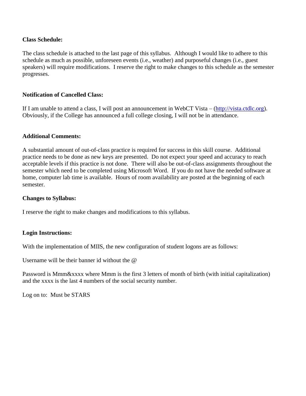## **Class Schedule:**

The class schedule is attached to the last page of this syllabus. Although I would like to adhere to this schedule as much as possible, unforeseen events (i.e., weather) and purposeful changes (i.e., guest speakers) will require modifications. I reserve the right to make changes to this schedule as the semester progresses.

## **Notification of Cancelled Class:**

If I am unable to attend a class, I will post an announcement in WebCT Vista – [\(http://vista.ctdlc.org\)](http://vista.ctdlc.org/). Obviously, if the College has announced a full college closing, I will not be in attendance.

## **Additional Comments:**

A substantial amount of out-of-class practice is required for success in this skill course. Additional practice needs to be done as new keys are presented. Do not expect your speed and accuracy to reach acceptable levels if this practice is not done. There will also be out-of-class assignments throughout the semester which need to be completed using Microsoft Word. If you do not have the needed software at home, computer lab time is available. Hours of room availability are posted at the beginning of each semester.

### **Changes to Syllabus:**

I reserve the right to make changes and modifications to this syllabus.

## **Login Instructions:**

With the implementation of MIIS, the new configuration of student logons are as follows:

Username will be their banner id without the @

Password is Mmm&xxxx where Mmm is the first 3 letters of month of birth (with initial capitalization) and the xxxx is the last 4 numbers of the social security number.

Log on to: Must be STARS